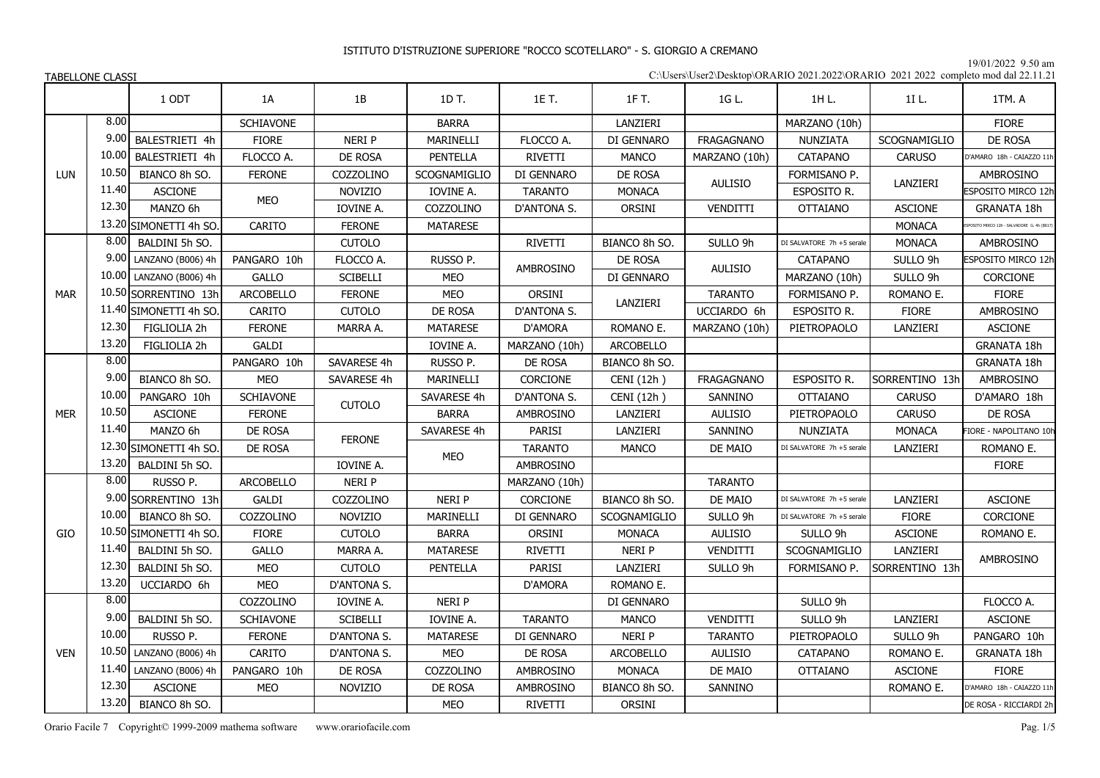19/01/2022 9.50 am

| C:\Users\User2\Desktop\ORARIO 2021.2022\ORARIO 2021 2022 completo mod dal 22.11.21 |  |
|------------------------------------------------------------------------------------|--|
|------------------------------------------------------------------------------------|--|

|            |       | 1 ODT                   | 1A               | 1B              | 1D T.           | 1E T.          | 1F T.            | 1G L.               | 1H L.                     | 1I L.               | 1TM. A                                   |
|------------|-------|-------------------------|------------------|-----------------|-----------------|----------------|------------------|---------------------|---------------------------|---------------------|------------------------------------------|
|            | 8.00  |                         | SCHIAVONE        |                 | <b>BARRA</b>    |                | LANZIERI         |                     | MARZANO (10h)             |                     | <b>FIORE</b>                             |
|            | 9.00  | BALESTRIETI 4h          | <b>FIORE</b>     | <b>NERIP</b>    | MARINELLI       | FLOCCO A.      | DI GENNARO       | <b>FRAGAGNANO</b>   | NUNZIATA                  | <b>SCOGNAMIGLIO</b> | DE ROSA                                  |
|            | 10.00 | BALESTRIETI 4h          | FLOCCO A.        | DE ROSA         | PENTELLA        | RIVETTI        | <b>MANCO</b>     | MARZANO (10h)       | CATAPANO                  | CARUSO              | D'AMARO 18h - CAIAZZO 11h                |
| <b>LUN</b> | 10.50 | BIANCO 8h SO.           | <b>FERONE</b>    | COZZOLINO       | SCOGNAMIGLIO    | DI GENNARO     | DE ROSA          |                     | FORMISANO P.              |                     | AMBROSINO                                |
|            | 11.40 | <b>ASCIONE</b>          |                  | <b>NOVIZIO</b>  | IOVINE A.       | <b>TARANTO</b> | <b>MONACA</b>    | <b>AULISIO</b>      | ESPOSITO R.               | LANZIERI            | ESPOSITO MIRCO 12h                       |
|            | 12.30 | MANZO 6h                | MEO              | IOVINE A.       | COZZOLINO       | D'ANTONA S.    | ORSINI           | VENDITTI            | <b>OTTAIANO</b>           | <b>ASCIONE</b>      | <b>GRANATA 18h</b>                       |
|            |       | 13.20 SIMONETTI 4h SO.  | CARITO           | <b>FERONE</b>   | <b>MATARESE</b> |                |                  |                     |                           | <b>MONACA</b>       | POSITO MIRCO 12h - SALVADORE G. 4h (B017 |
|            | 8.00  | BALDINI 5h SO.          |                  | <b>CUTOLO</b>   |                 | RIVETTI        | BIANCO 8h SO.    | SULLO 9h            | DI SALVATORE 7h +5 serale | <b>MONACA</b>       | AMBROSINO                                |
|            | 9.00  | LANZANO (B006) 4h       | PANGARO 10h      | FLOCCO A.       | RUSSO P.        | AMBROSINO      | DE ROSA          | <b>AULISIO</b>      | <b>CATAPANO</b>           | SULLO 9h            | ESPOSITO MIRCO 12h                       |
|            |       | 10.00 LANZANO (B006) 4h | <b>GALLO</b>     | <b>SCIBELLI</b> | MEO             |                | DI GENNARO       |                     | MARZANO (10h)             | SULLO 9h            | CORCIONE                                 |
| <b>MAR</b> |       | 10.50 SORRENTINO 13h    | ARCOBELLO        | <b>FERONE</b>   | MEO             | ORSINI         | LANZIERI         | <b>TARANTO</b>      | FORMISANO P.              | ROMANO E.           | <b>FIORE</b>                             |
|            |       | 11.40 SIMONETTI 4h SO.  | CARITO           | <b>CUTOLO</b>   | DE ROSA         | D'ANTONA S.    |                  | UCCIARDO 6h         | ESPOSITO R.               | <b>FIORE</b>        | AMBROSINO                                |
|            | 12.30 | FIGLIOLIA 2h            | <b>FERONE</b>    | MARRA A.        | <b>MATARESE</b> | D'AMORA        | ROMANO E.        | MARZANO (10h)       | PIETROPAOLO               | LANZIERI            | <b>ASCIONE</b>                           |
|            | 13.20 | FIGLIOLIA 2h            | GALDI            |                 | IOVINE A.       | MARZANO (10h)  | <b>ARCOBELLO</b> |                     |                           |                     | GRANATA 18h                              |
|            | 8.00  |                         | PANGARO 10h      | SAVARESE 4h     | RUSSO P.        | DE ROSA        | BIANCO 8h SO.    |                     |                           |                     | <b>GRANATA 18h</b>                       |
|            | 9.00  | BIANCO 8h SO.           | <b>MEO</b>       | SAVARESE 4h     | MARINELLI       | CORCIONE       | CENI (12h)       | <b>FRAGAGNANO</b>   | ESPOSITO R.               | SORRENTINO 13h      | AMBROSINO                                |
|            | 10.00 | PANGARO 10h             | <b>SCHIAVONE</b> | <b>CUTOLO</b>   | SAVARESE 4h     | D'ANTONA S.    | CENI (12h)       | SANNINO             | <b>OTTAIANO</b>           | <b>CARUSO</b>       | D'AMARO 18h                              |
| <b>MER</b> | 10.50 | <b>ASCIONE</b>          | <b>FERONE</b>    |                 | <b>BARRA</b>    | AMBROSINO      | LANZIERI         | <b>AULISIO</b>      | PIETROPAOLO               | CARUSO              | DE ROSA                                  |
|            | 11.40 | MANZO 6h                | DE ROSA          | <b>FERONE</b>   | SAVARESE 4h     | <b>PARISI</b>  | LANZIERI         | SANNINO             | NUNZIATA                  | <b>MONACA</b>       | FIORE - NAPOLITANO 10h                   |
|            |       | 12.30 SIMONETTI 4h SO.  | DE ROSA          |                 | MEO             | <b>TARANTO</b> | <b>MANCO</b>     | DE MAIO             | DI SALVATORE 7h +5 serale | LANZIERI            | ROMANO E.                                |
|            | 13.20 | BALDINI 5h SO.          |                  | IOVINE A.       |                 | AMBROSINO      |                  |                     |                           |                     | <b>FIORE</b>                             |
|            | 8.00  | RUSSO P.                | ARCOBELLO        | NERI P          |                 | MARZANO (10h)  |                  | <b>TARANTO</b>      |                           |                     |                                          |
|            |       | 9.00 SORRENTINO 13h     | GALDI            | COZZOLINO       | <b>NERIP</b>    | CORCIONE       | BIANCO 8h SO.    | DE MAIO             | DI SALVATORE 7h +5 serale | LANZIERI            | <b>ASCIONE</b>                           |
|            | 10.00 | BIANCO 8h SO.           | COZZOLINO        | <b>NOVIZIO</b>  | MARINELLI       | DI GENNARO     | SCOGNAMIGLIO     | SULLO 9h            | DI SALVATORE 7h +5 serale | <b>FIORE</b>        | CORCIONE                                 |
| GIO        | 10.50 | SIMONETTI 4h SO.        | <b>FIORE</b>     | <b>CUTOLO</b>   | <b>BARRA</b>    | ORSINI         | <b>MONACA</b>    | <b>AULISIO</b>      | SULLO 9h                  | <b>ASCIONE</b>      | ROMANO E.                                |
|            | 11.40 | BALDINI 5h SO.          | <b>GALLO</b>     | MARRA A.        | <b>MATARESE</b> | RIVETTI        | <b>NERIP</b>     | VENDITTI            | SCOGNAMIGLIO              | LANZIERI            | <b>AMBROSINO</b>                         |
|            | 12.30 | BALDINI 5h SO.          | <b>MEO</b>       | <b>CUTOLO</b>   | PENTELLA        | PARISI         | LANZIERI         | SULLO <sub>9h</sub> | FORMISANO P.              | SORRENTINO 13h      |                                          |
|            | 13.20 | UCCIARDO 6h             | <b>MEO</b>       | D'ANTONA S.     |                 | D'AMORA        | ROMANO E.        |                     |                           |                     |                                          |
|            | 8.00  |                         | COZZOLINO        | IOVINE A.       | NERI P          |                | DI GENNARO       |                     | SULLO 9h                  |                     | FLOCCO A.                                |
|            | 9.00  | BALDINI 5h SO.          | <b>SCHIAVONE</b> | <b>SCIBELLI</b> | IOVINE A.       | <b>TARANTO</b> | <b>MANCO</b>     | VENDITTI            | SULLO 9h                  | LANZIERI            | <b>ASCIONE</b>                           |
|            | 10.00 | RUSSO P.                | <b>FERONE</b>    | D'ANTONA S.     | <b>MATARESE</b> | DI GENNARO     | <b>NERI P</b>    | <b>TARANTO</b>      | PIETROPAOLO               | SULLO 9h            | PANGARO 10h                              |
| <b>VEN</b> | 10.50 | LANZANO (B006) 4h       | CARITO           | D'ANTONA S.     | MEO             | DE ROSA        | ARCOBELLO        | <b>AULISIO</b>      | <b>CATAPANO</b>           | ROMANO E.           | <b>GRANATA 18h</b>                       |
|            | 11.40 | LANZANO (B006) 4h       | PANGARO 10h      | DE ROSA         | COZZOLINO       | AMBROSINO      | <b>MONACA</b>    | DE MAIO             | <b>OTTAIANO</b>           | <b>ASCIONE</b>      | <b>FIORE</b>                             |
|            | 12.30 | <b>ASCIONE</b>          | <b>MEO</b>       | <b>NOVIZIO</b>  | DE ROSA         | AMBROSINO      | BIANCO 8h SO.    | SANNINO             |                           | ROMANO E.           | D'AMARO 18h - CAIAZZO 11h                |
|            | 13.20 | BIANCO 8h SO.           |                  |                 | MEO             | RIVETTI        | <b>ORSINI</b>    |                     |                           |                     | DE ROSA - RICCIARDI 2h                   |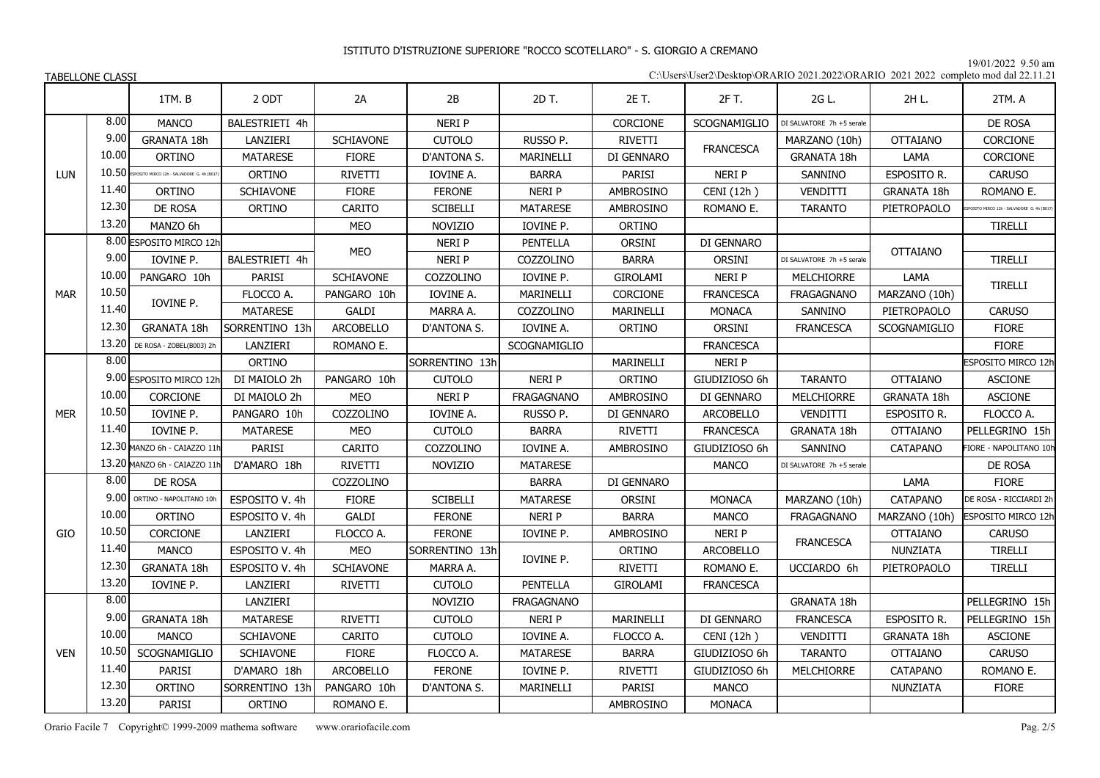19/01/2022 9.50 am

| C:\Users\User2\Desktop\ORARIO 2021.2022\ORARIO 2021 2022 completo mod dal 22.11.21 |  |
|------------------------------------------------------------------------------------|--|
|------------------------------------------------------------------------------------|--|

|            |       | 1TM.B                                      | 2 ODT            | 2A               | 2B              | 2D T.             | 2E T.            | 2F T.            | 2G L.                     | 2H L.               | 2TM. A                                  |
|------------|-------|--------------------------------------------|------------------|------------------|-----------------|-------------------|------------------|------------------|---------------------------|---------------------|-----------------------------------------|
|            | 8.00  | <b>MANCO</b>                               | BALESTRIETI 4h   |                  | NERI P          |                   | CORCIONE         | SCOGNAMIGLIO     | DI SALVATORE 7h +5 serale |                     | DE ROSA                                 |
|            | 9.00  | GRANATA 18h                                | LANZIERI         | <b>SCHIAVONE</b> | <b>CUTOLO</b>   | RUSSO P.          | RIVETTI          | <b>FRANCESCA</b> | MARZANO (10h)             | <b>OTTAIANO</b>     | CORCIONE                                |
|            | 10.00 | <b>ORTINO</b>                              | <b>MATARESE</b>  | <b>FIORE</b>     | D'ANTONA S.     | MARINELLI         | DI GENNARO       |                  | GRANATA 18h               | LAMA                | CORCIONE                                |
| <b>LUN</b> | 10.50 | ESPOSITO MIRCO 12h - SALVADORE G. 4h (B017 | ORTINO           | RIVETTI          | IOVINE A.       | <b>BARRA</b>      | PARISI           | NERI P           | SANNINO                   | ESPOSITO R.         | <b>CARUSO</b>                           |
|            | 11.40 | <b>ORTINO</b>                              | SCHIAVONE        | <b>FIORE</b>     | <b>FERONE</b>   | <b>NERI P</b>     | AMBROSINO        | CENI (12h)       | VENDITTI                  | GRANATA 18h         | ROMANO E.                               |
|            | 12.30 | DE ROSA                                    | ORTINO           | CARITO           | <b>SCIBELLI</b> | <b>MATARESE</b>   | AMBROSINO        | ROMANO E.        | <b>TARANTO</b>            | PIETROPAOLO         | OSITO MIRCO 12h - SALVADORE G. 4h (B017 |
|            | 13.20 | MANZO 6h                                   |                  | <b>MEO</b>       | <b>NOVIZIO</b>  | IOVINE P.         | ORTINO           |                  |                           |                     | <b>TIRELLI</b>                          |
|            |       | 8.00 ESPOSITO MIRCO 12h                    |                  | <b>MEO</b>       | NERI P          | <b>PENTELLA</b>   | ORSINI           | DI GENNARO       |                           | <b>OTTAIANO</b>     |                                         |
|            | 9.00  | IOVINE P.                                  | BALESTRIETI 4h   |                  | NERI P          | COZZOLINO         | <b>BARRA</b>     | <b>ORSINI</b>    | DI SALVATORE 7h +5 serale |                     | TIRELLI                                 |
|            | 10.00 | PANGARO 10h                                | PARISI           | SCHIAVONE        | COZZOLINO       | IOVINE P.         | GIROLAMI         | NERI P           | MELCHIORRE                | LAMA                | TIRELLI                                 |
| <b>MAR</b> | 10.50 |                                            | FLOCCO A.        | PANGARO 10h      | IOVINE A.       | MARINELLI         | CORCIONE         | <b>FRANCESCA</b> | FRAGAGNANO                | MARZANO (10h)       |                                         |
|            | 11.40 | IOVINE P.                                  | <b>MATARESE</b>  | GALDI            | MARRA A.        | COZZOLINO         | MARINELLI        | <b>MONACA</b>    | SANNINO                   | PIETROPAOLO         | <b>CARUSO</b>                           |
|            | 12.30 | <b>GRANATA 18h</b>                         | SORRENTINO 13h   | ARCOBELLO        | D'ANTONA S.     | IOVINE A.         | <b>ORTINO</b>    | <b>ORSINI</b>    | <b>FRANCESCA</b>          | <b>SCOGNAMIGLIO</b> | <b>FIORE</b>                            |
|            | 13.20 | DE ROSA - ZOBEL(B003) 2h                   | LANZIERI         | ROMANO E.        |                 | SCOGNAMIGLIO      |                  | <b>FRANCESCA</b> |                           |                     | <b>FIORE</b>                            |
|            | 8.00  |                                            | ORTINO           |                  | SORRENTINO 13h  |                   | <b>MARINELLI</b> | <b>NERIP</b>     |                           |                     | ESPOSITO MIRCO 12h                      |
|            |       | 9.00 ESPOSITO MIRCO 12h                    | DI MAIOLO 2h     | PANGARO 10h      | <b>CUTOLO</b>   | <b>NERI P</b>     | <b>ORTINO</b>    | GIUDIZIOSO 6h    | <b>TARANTO</b>            | <b>OTTAIANO</b>     | <b>ASCIONE</b>                          |
|            | 10.00 | CORCIONE                                   | DI MAIOLO 2h     | <b>MEO</b>       | <b>NERI P</b>   | <b>FRAGAGNANO</b> | AMBROSINO        | DI GENNARO       | MELCHIORRE                | GRANATA 18h         | <b>ASCIONE</b>                          |
| <b>MER</b> | 10.50 | IOVINE P.                                  | PANGARO 10h      | COZZOLINO        | IOVINE A.       | RUSSO P.          | DI GENNARO       | <b>ARCOBELLO</b> | VENDITTI                  | ESPOSITO R.         | FLOCCO A.                               |
|            | 11.40 | IOVINE P.                                  | <b>MATARESE</b>  | <b>MEO</b>       | <b>CUTOLO</b>   | <b>BARRA</b>      | RIVETTI          | <b>FRANCESCA</b> | GRANATA 18h               | <b>OTTAIANO</b>     | PELLEGRINO 15h                          |
|            |       | 12.30 MANZO 6h - CAIAZZO 11h               | PARISI           | CARITO           | COZZOLINO       | IOVINE A.         | AMBROSINO        | GIUDIZIOSO 6h    | SANNINO                   | <b>CATAPANO</b>     | FIORE - NAPOLITANO 10h                  |
|            |       | 13.20 MANZO 6h - CAIAZZO 11h               | D'AMARO 18h      | RIVETTI          | <b>NOVIZIO</b>  | <b>MATARESE</b>   |                  | <b>MANCO</b>     | DI SALVATORE 7h +5 serale |                     | DE ROSA                                 |
|            | 8.00  | DE ROSA                                    |                  | COZZOLINO        |                 | <b>BARRA</b>      | DI GENNARO       |                  |                           | LAMA                | <b>FIORE</b>                            |
|            | 9.00  | ORTINO - NAPOLITANO 10h                    | ESPOSITO V. 4h   | <b>FIORE</b>     | <b>SCIBELLI</b> | <b>MATARESE</b>   | <b>ORSINI</b>    | <b>MONACA</b>    | MARZANO (10h)             | CATAPANO            | DE ROSA - RICCIARDI 2h                  |
|            | 10.00 | <b>ORTINO</b>                              | ESPOSITO V. 4h   | <b>GALDI</b>     | <b>FERONE</b>   | <b>NERI P</b>     | <b>BARRA</b>     | <b>MANCO</b>     | <b>FRAGAGNANO</b>         | MARZANO (10h)       | ESPOSITO MIRCO 12h                      |
| GIO        | 10.50 | CORCIONE                                   | LANZIERI         | FLOCCO A.        | <b>FERONE</b>   | IOVINE P.         | <b>AMBROSINO</b> | NERI P           | <b>FRANCESCA</b>          | <b>OTTAIANO</b>     | <b>CARUSO</b>                           |
|            | 11.40 | <b>MANCO</b>                               | ESPOSITO V. 4h   | <b>MEO</b>       | SORRENTINO 13h  | IOVINE P.         | <b>ORTINO</b>    | <b>ARCOBELLO</b> |                           | NUNZIATA            | TIRELLI                                 |
|            | 12.30 | GRANATA 18h                                | ESPOSITO V. 4h   | SCHIAVONE        | MARRA A.        |                   | <b>RIVETTI</b>   | ROMANO E.        | UCCIARDO 6h               | PIETROPAOLO         | TIRELLI                                 |
|            | 13.20 | IOVINE P.                                  | LANZIERI         | <b>RIVETTI</b>   | <b>CUTOLO</b>   | <b>PENTELLA</b>   | GIROLAMI         | <b>FRANCESCA</b> |                           |                     |                                         |
|            | 8.00  |                                            | LANZIERI         |                  | <b>NOVIZIO</b>  | <b>FRAGAGNANO</b> |                  |                  | GRANATA 18h               |                     | PELLEGRINO 15h                          |
|            | 9.00  | GRANATA 18h                                | <b>MATARESE</b>  | RIVETTI          | <b>CUTOLO</b>   | <b>NERI P</b>     | MARINELLI        | DI GENNARO       | <b>FRANCESCA</b>          | ESPOSITO R.         | PELLEGRINO 15h                          |
|            | 10.00 | MANCO                                      | SCHIAVONE        | <b>CARITO</b>    | <b>CUTOLO</b>   | IOVINE A.         | FLOCCO A.        | CENI (12h)       | VENDITTI                  | GRANATA 18h         | <b>ASCIONE</b>                          |
| <b>VEN</b> | 10.50 | SCOGNAMIGLIO                               | <b>SCHIAVONE</b> | <b>FIORE</b>     | FLOCCO A.       | <b>MATARESE</b>   | <b>BARRA</b>     | GIUDIZIOSO 6h    | <b>TARANTO</b>            | <b>OTTAIANO</b>     | <b>CARUSO</b>                           |
|            | 11.40 | PARISI                                     | D'AMARO 18h      | ARCOBELLO        | <b>FERONE</b>   | IOVINE P.         | <b>RIVETTI</b>   | GIUDIZIOSO 6h    | <b>MELCHIORRE</b>         | CATAPANO            | ROMANO E.                               |
|            | 12.30 | <b>ORTINO</b>                              | SORRENTINO 13h   | PANGARO 10h      | D'ANTONA S.     | MARINELLI         | PARISI           | <b>MANCO</b>     |                           | NUNZIATA            | <b>FIORE</b>                            |
|            | 13.20 | PARISI                                     | ORTINO           | ROMANO E.        |                 |                   | AMBROSINO        | <b>MONACA</b>    |                           |                     |                                         |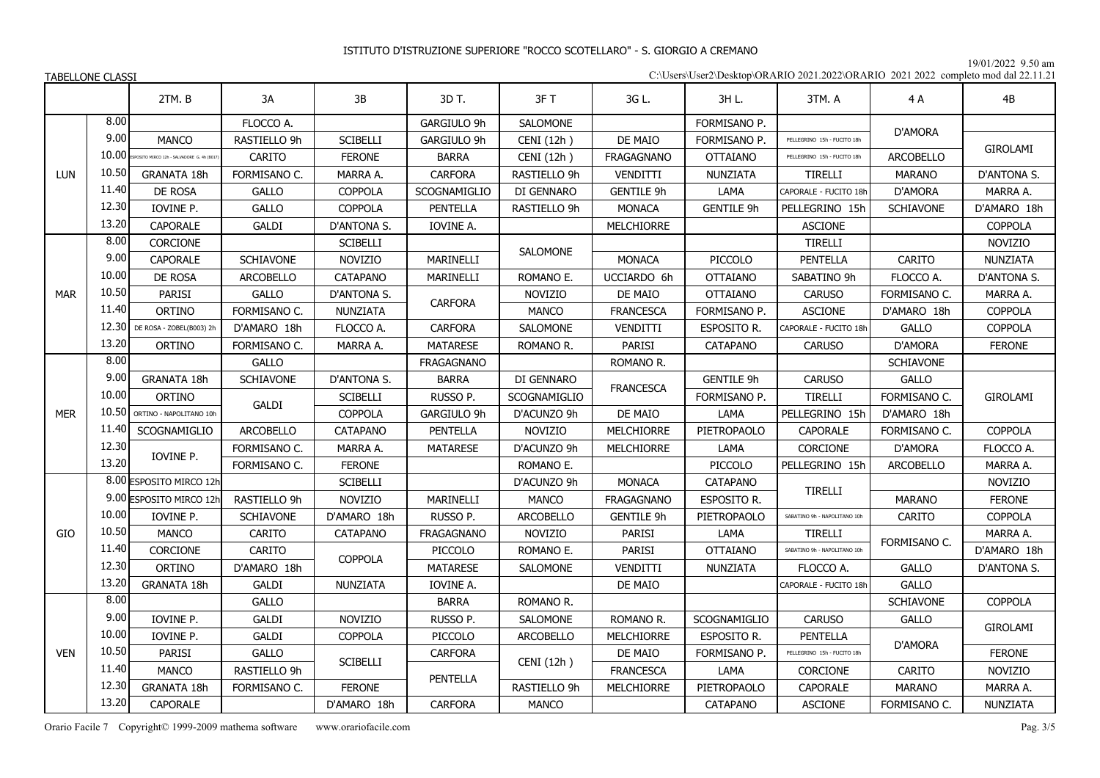19/01/2022 9.50 am

C:\Users\User2\Desktop\ORARIO 2021.2022\ORARIO 2021 2022 completo mod dal 22.11.21

|            |       | 2TM.B                                     | 3A               | 3B              | 3D T.             | 3F T                | 3G L.             | 3H L.               | 3TM. A                       | 4 A              | 4B              |
|------------|-------|-------------------------------------------|------------------|-----------------|-------------------|---------------------|-------------------|---------------------|------------------------------|------------------|-----------------|
|            | 8.00  |                                           | FLOCCO A.        |                 | GARGIULO 9h       | SALOMONE            |                   | FORMISANO P.        |                              |                  |                 |
|            | 9.00  | <b>MANCO</b>                              | RASTIELLO 9h     | <b>SCIBELLI</b> | GARGIULO 9h       | CENI(12h)           | DE MAIO           | FORMISANO P.        | PELLEGRINO 15h - FUCITO 18h  | D'AMORA          |                 |
|            | 10.00 | SPOSITO MIRCO 12h - SALVADORE G. 4h (B01) | CARITO           | <b>FERONE</b>   | <b>BARRA</b>      | CENI (12h)          | <b>FRAGAGNANO</b> | <b>OTTAIANO</b>     | PELLEGRINO 15h - FUCITO 18h  | <b>ARCOBELLO</b> | GIROLAMI        |
| LUN        | 10.50 | <b>GRANATA 18h</b>                        | FORMISANO C.     | MARRA A.        | CARFORA           | RASTIELLO 9h        | VENDITTI          | NUNZIATA            | <b>TIRELLI</b>               | <b>MARANO</b>    | D'ANTONA S.     |
|            | 11.40 | DE ROSA                                   | <b>GALLO</b>     | COPPOLA         | SCOGNAMIGLIO      | DI GENNARO          | <b>GENTILE 9h</b> | LAMA                | CAPORALE - FUCITO 18h        | D'AMORA          | MARRA A.        |
|            | 12.30 | IOVINE P.                                 | <b>GALLO</b>     | <b>COPPOLA</b>  | <b>PENTELLA</b>   | RASTIELLO 9h        | <b>MONACA</b>     | <b>GENTILE 9h</b>   | PELLEGRINO 15h               | <b>SCHIAVONE</b> | D'AMARO 18h     |
|            | 13.20 | <b>CAPORALE</b>                           | GALDI            | D'ANTONA S.     | IOVINE A.         |                     | MELCHIORRE        |                     | <b>ASCIONE</b>               |                  | <b>COPPOLA</b>  |
|            | 8.00  | <b>CORCIONE</b>                           |                  | <b>SCIBELLI</b> |                   | <b>SALOMONE</b>     |                   |                     | <b>TIRELLI</b>               |                  | <b>NOVIZIO</b>  |
|            | 9.00  | <b>CAPORALE</b>                           | <b>SCHIAVONE</b> | <b>NOVIZIO</b>  | MARINELLI         |                     | <b>MONACA</b>     | PICCOLO             | <b>PENTELLA</b>              | CARITO           | NUNZIATA        |
|            | 10.00 | <b>DE ROSA</b>                            | <b>ARCOBELLO</b> | <b>CATAPANO</b> | MARINELLI         | ROMANO E.           | UCCIARDO 6h       | <b>OTTAIANO</b>     | SABATINO 9h                  | FLOCCO A.        | D'ANTONA S.     |
| <b>MAR</b> | 10.50 | <b>PARISI</b>                             | <b>GALLO</b>     | D'ANTONA S.     |                   | <b>NOVIZIO</b>      | DE MAIO           | <b>OTTAIANO</b>     | <b>CARUSO</b>                | FORMISANO C.     | MARRA A.        |
|            | 11.40 | ORTINO                                    | FORMISANO C.     | NUNZIATA        | <b>CARFORA</b>    | <b>MANCO</b>        | <b>FRANCESCA</b>  | FORMISANO P.        | <b>ASCIONE</b>               | D'AMARO 18h      | COPPOLA         |
|            |       | 12.30 DE ROSA - ZOBEL(B003) 2h            | D'AMARO 18h      | FLOCCO A.       | <b>CARFORA</b>    | <b>SALOMONE</b>     | VENDITTI          | ESPOSITO R.         | CAPORALE - FUCITO 18h        | <b>GALLO</b>     | COPPOLA         |
|            | 13.20 | ORTINO                                    | FORMISANO C.     | MARRA A.        | <b>MATARESE</b>   | ROMANO R.           | PARISI            | <b>CATAPANO</b>     | <b>CARUSO</b>                | D'AMORA          | <b>FERONE</b>   |
|            | 8.00  |                                           | <b>GALLO</b>     |                 | <b>FRAGAGNANO</b> |                     | ROMANO R.         |                     |                              | <b>SCHIAVONE</b> |                 |
|            | 9.00  | <b>GRANATA 18h</b>                        | <b>SCHIAVONE</b> | D'ANTONA S.     | <b>BARRA</b>      | DI GENNARO          | <b>FRANCESCA</b>  | <b>GENTILE 9h</b>   | <b>CARUSO</b>                | <b>GALLO</b>     |                 |
|            | 10.00 | <b>ORTINO</b>                             | <b>GALDI</b>     | <b>SCIBELLI</b> | RUSSO P.          | <b>SCOGNAMIGLIO</b> |                   | FORMISANO P.        | <b>TIRELLI</b>               | FORMISANO C.     | <b>GIROLAMI</b> |
| <b>MER</b> | 10.50 | ORTINO - NAPOLITANO 10h                   |                  | <b>COPPOLA</b>  | GARGIULO 9h       | D'ACUNZO 9h         | DE MAIO           | LAMA                | PELLEGRINO 15h               | D'AMARO 18h      |                 |
|            | 11.40 | SCOGNAMIGLIO                              | ARCOBELLO        | CATAPANO        | <b>PENTELLA</b>   | <b>NOVIZIO</b>      | <b>MELCHIORRE</b> | PIETROPAOLO         | CAPORALE                     | FORMISANO C.     | COPPOLA         |
|            | 12.30 | IOVINE P.                                 | FORMISANO C.     | MARRA A.        | <b>MATARESE</b>   | D'ACUNZO 9h         | <b>MELCHIORRE</b> | LAMA                | CORCIONE                     | D'AMORA          | FLOCCO A.       |
|            | 13.20 |                                           | FORMISANO C.     | <b>FERONE</b>   |                   | ROMANO E.           |                   | PICCOLO             | PELLEGRINO 15h               | <b>ARCOBELLO</b> | MARRA A.        |
|            |       | 8.00 ESPOSITO MIRCO 12h                   |                  | <b>SCIBELLI</b> |                   | D'ACUNZO 9h         | <b>MONACA</b>     | CATAPANO            | <b>TIRELLI</b>               |                  | <b>NOVIZIO</b>  |
|            |       | 9.00 ESPOSITO MIRCO 12h                   | RASTIELLO 9h     | <b>NOVIZIO</b>  | MARINELLI         | <b>MANCO</b>        | <b>FRAGAGNANO</b> | ESPOSITO R.         |                              | <b>MARANO</b>    | <b>FERONE</b>   |
|            | 10.00 | IOVINE P.                                 | <b>SCHIAVONE</b> | D'AMARO 18h     | RUSSO P.          | ARCOBELLO           | <b>GENTILE 9h</b> | PIETROPAOLO         | SABATINO 9h - NAPOLITANO 10h | CARITO           | COPPOLA         |
| GIO        | 10.50 | MANCO                                     | CARITO           | <b>CATAPANO</b> | <b>FRAGAGNANO</b> | <b>NOVIZIO</b>      | PARISI            | LAMA                | <b>TIRELLI</b>               | FORMISANO C.     | MARRA A.        |
|            | 11.40 | CORCIONE                                  | CARITO           | <b>COPPOLA</b>  | PICCOLO           | ROMANO E.           | PARISI            | <b>OTTAIANO</b>     | SABATINO 9h - NAPOLITANO 10h |                  | D'AMARO 18h     |
|            | 12.30 | <b>ORTINO</b>                             | D'AMARO 18h      |                 | <b>MATARESE</b>   | SALOMONE            | VENDITTI          | NUNZIATA            | FLOCCO A.                    | <b>GALLO</b>     | D'ANTONA S.     |
|            | 13.20 | <b>GRANATA 18h</b>                        | <b>GALDI</b>     | NUNZIATA        | IOVINE A.         |                     | DE MAIO           |                     | CAPORALE - FUCITO 18h        | <b>GALLO</b>     |                 |
|            | 8.00  |                                           | <b>GALLO</b>     |                 | <b>BARRA</b>      | ROMANO R.           |                   |                     |                              | SCHIAVONE        | COPPOLA         |
|            | 9.00  | IOVINE P.                                 | <b>GALDI</b>     | <b>NOVIZIO</b>  | RUSSO P.          | SALOMONE            | ROMANO R.         | <b>SCOGNAMIGLIO</b> | <b>CARUSO</b>                | <b>GALLO</b>     | <b>GIROLAMI</b> |
|            | 10.00 | IOVINE P.                                 | <b>GALDI</b>     | <b>COPPOLA</b>  | PICCOLO           | ARCOBELLO           | <b>MELCHIORRE</b> | ESPOSITO R.         | <b>PENTELLA</b>              | D'AMORA          |                 |
| <b>VEN</b> | 10.50 | PARISI                                    | <b>GALLO</b>     | <b>SCIBELLI</b> | CARFORA           | CENI (12h)          | DE MAIO           | FORMISANO P.        | PELLEGRINO 15h - FUCITO 18h  |                  | <b>FERONE</b>   |
|            | 11.40 | <b>MANCO</b>                              | RASTIELLO 9h     |                 | <b>PENTELLA</b>   |                     | <b>FRANCESCA</b>  | LAMA                | <b>CORCIONE</b>              | <b>CARITO</b>    | <b>NOVIZIO</b>  |
|            | 12.30 | <b>GRANATA 18h</b>                        | FORMISANO C.     | <b>FERONE</b>   |                   | RASTIELLO 9h        | MELCHIORRE        | PIETROPAOLO         | CAPORALE                     | <b>MARANO</b>    | MARRA A.        |
|            | 13.20 | CAPORALE                                  |                  | D'AMARO 18h     | <b>CARFORA</b>    | <b>MANCO</b>        |                   | <b>CATAPANO</b>     | <b>ASCIONE</b>               | FORMISANO C.     | NUNZIATA        |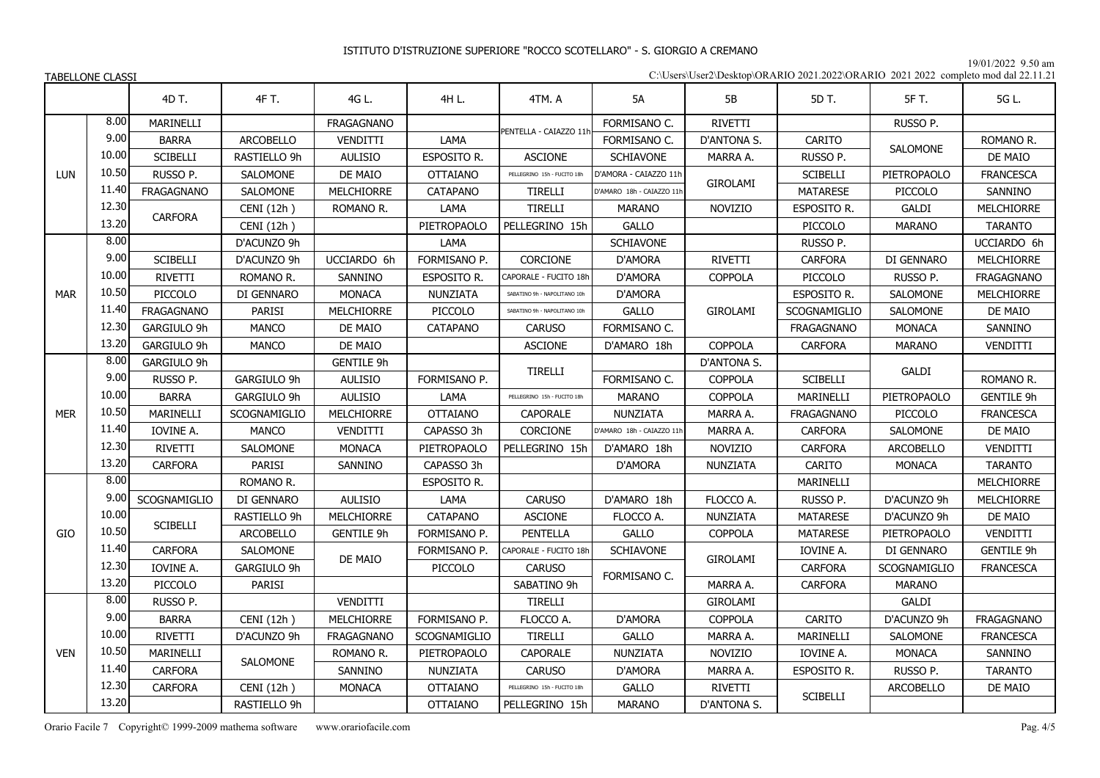19/01/2022 9.50 am

| C:\Users\User2\Desktop\ORARIO 2021.2022\ORARIO 2021 2022 completo mod dal 22.11.21 |  |
|------------------------------------------------------------------------------------|--|
|------------------------------------------------------------------------------------|--|

|            |       | 4D T.               | 4F T.            | 4G L.             | 4H L.           | 4TM. A                       | 5A                        | 5B              | 5D T.               | 5F T.            | 5G L.             |
|------------|-------|---------------------|------------------|-------------------|-----------------|------------------------------|---------------------------|-----------------|---------------------|------------------|-------------------|
|            | 8.00  | MARINELLI           |                  | <b>FRAGAGNANO</b> |                 |                              | FORMISANO C.              | <b>RIVETTI</b>  |                     | RUSSO P.         |                   |
|            | 9.00  | <b>BARRA</b>        | <b>ARCOBELLO</b> | <b>VENDITTI</b>   | LAMA            | PENTELLA - CAIAZZO 11        | FORMISANO C.              | D'ANTONA S.     | <b>CARITO</b>       |                  | ROMANO R.         |
|            | 10.00 | <b>SCIBELLI</b>     | RASTIELLO 9h     | <b>AULISIO</b>    | ESPOSITO R.     | <b>ASCIONE</b>               | SCHIAVONE                 | MARRA A.        | RUSSO P.            | <b>SALOMONE</b>  | DE MAIO           |
| LUN        | 10.50 | RUSSO P.            | SALOMONE         | DE MAIO           | <b>OTTAIANO</b> | PELLEGRINO 15h - FUCITO 18h  | D'AMORA - CAIAZZO 11h     |                 | <b>SCIBELLI</b>     | PIETROPAOLO      | <b>FRANCESCA</b>  |
|            | 11.40 | <b>FRAGAGNANO</b>   | <b>SALOMONE</b>  | MELCHIORRE        | CATAPANO        | <b>TIRELLI</b>               | D'AMARO 18h - CAIAZZO 11h | <b>GIROLAMI</b> | <b>MATARESE</b>     | PICCOLO          | SANNINO           |
|            | 12.30 |                     | CENI (12h)       | ROMANO R.         | LAMA            | <b>TIRELLI</b>               | <b>MARANO</b>             | <b>NOVIZIO</b>  | ESPOSITO R.         | <b>GALDI</b>     | <b>MELCHIORRE</b> |
|            | 13.20 | CARFORA             | CENI (12h)       |                   | PIETROPAOLO     | PELLEGRINO 15h               | <b>GALLO</b>              |                 | PICCOLO             | <b>MARANO</b>    | <b>TARANTO</b>    |
|            | 8.00  |                     | D'ACUNZO 9h      |                   | LAMA            |                              | SCHIAVONE                 |                 | RUSSO P.            |                  | UCCIARDO 6h       |
|            | 9.00  | <b>SCIBELLI</b>     | D'ACUNZO 9h      | UCCIARDO 6h       | FORMISANO P.    | CORCIONE                     | D'AMORA                   | RIVETTI         | <b>CARFORA</b>      | DI GENNARO       | <b>MELCHIORRE</b> |
|            | 10.00 | <b>RIVETTI</b>      | ROMANO R.        | SANNINO           | ESPOSITO R.     | CAPORALE - FUCITO 18h        | D'AMORA                   | <b>COPPOLA</b>  | PICCOLO             | RUSSO P.         | <b>FRAGAGNANO</b> |
| <b>MAR</b> | 10.50 | PICCOLO             | DI GENNARO       | <b>MONACA</b>     | NUNZIATA        | SABATINO 9h - NAPOLITANO 10h | D'AMORA                   |                 | ESPOSITO R.         | SALOMONE         | <b>MELCHIORRE</b> |
|            | 11.40 | <b>FRAGAGNANO</b>   | <b>PARISI</b>    | <b>MELCHIORRE</b> | PICCOLO         | SABATINO 9h - NAPOLITANO 10h | <b>GALLO</b>              | <b>GIROLAMI</b> | <b>SCOGNAMIGLIO</b> | SALOMONE         | DE MAIO           |
|            | 12.30 | GARGIULO 9h         | <b>MANCO</b>     | DE MAIO           | <b>CATAPANO</b> | <b>CARUSO</b>                | FORMISANO C.              |                 | <b>FRAGAGNANO</b>   | <b>MONACA</b>    | SANNINO           |
|            | 13.20 | GARGIULO 9h         | <b>MANCO</b>     | DE MAIO           |                 | <b>ASCIONE</b>               | D'AMARO 18h               | <b>COPPOLA</b>  | <b>CARFORA</b>      | <b>MARANO</b>    | VENDITTI          |
|            | 8.00  | GARGIULO 9h         |                  | <b>GENTILE 9h</b> |                 | <b>TIRELLI</b>               |                           | D'ANTONA S.     |                     |                  |                   |
|            | 9.00  | RUSSO P.            | GARGIULO 9h      | <b>AULISIO</b>    | FORMISANO P.    |                              | FORMISANO C.              | <b>COPPOLA</b>  | <b>SCIBELLI</b>     | GALDI            | ROMANO R.         |
|            | 10.00 | <b>BARRA</b>        | GARGIULO 9h      | <b>AULISIO</b>    | LAMA            | PELLEGRINO 15h - FUCITO 18h  | <b>MARANO</b>             | <b>COPPOLA</b>  | MARINELLI           | PIETROPAOLO      | <b>GENTILE 9h</b> |
| <b>MER</b> | 10.50 | MARINELLI           | SCOGNAMIGLIO     | <b>MELCHIORRE</b> | <b>OTTAIANO</b> | <b>CAPORALE</b>              | NUNZIATA                  | MARRA A.        | <b>FRAGAGNANO</b>   | PICCOLO          | <b>FRANCESCA</b>  |
|            | 11.40 | IOVINE A.           | <b>MANCO</b>     | <b>VENDITTI</b>   | CAPASSO 3h      | <b>CORCIONE</b>              | D'AMARO 18h - CAIAZZO 11h | MARRA A.        | <b>CARFORA</b>      | <b>SALOMONE</b>  | DE MAIO           |
|            | 12.30 | <b>RIVETTI</b>      | <b>SALOMONE</b>  | <b>MONACA</b>     | PIETROPAOLO     | PELLEGRINO 15h               | D'AMARO 18h               | <b>NOVIZIO</b>  | <b>CARFORA</b>      | <b>ARCOBELLO</b> | VENDITTI          |
|            | 13.20 | CARFORA             | <b>PARISI</b>    | SANNINO           | CAPASSO 3h      |                              | D'AMORA                   | NUNZIATA        | <b>CARITO</b>       | <b>MONACA</b>    | <b>TARANTO</b>    |
|            | 8.00  |                     | ROMANO R.        |                   | ESPOSITO R.     |                              |                           |                 | MARINELLI           |                  | <b>MELCHIORRE</b> |
|            | 9.00  | <b>SCOGNAMIGLIO</b> | DI GENNARO       | <b>AULISIO</b>    | LAMA            | <b>CARUSO</b>                | D'AMARO 18h               | FLOCCO A.       | RUSSO P.            | D'ACUNZO 9h      | <b>MELCHIORRE</b> |
|            | 10.00 | <b>SCIBELLI</b>     | RASTIELLO 9h     | MELCHIORRE        | CATAPANO        | <b>ASCIONE</b>               | FLOCCO A.                 | NUNZIATA        | <b>MATARESE</b>     | D'ACUNZO 9h      | DE MAIO           |
| GIO        | 10.50 |                     | ARCOBELLO        | <b>GENTILE 9h</b> | FORMISANO P.    | <b>PENTELLA</b>              | GALLO                     | COPPOLA         | MATARESE            | PIETROPAOLO      | <b>VENDITTI</b>   |
|            | 11.40 | CARFORA             | SALOMONE         | DE MAIO           | FORMISANO P.    | CAPORALE - FUCITO 18h        | <b>SCHIAVONE</b>          | <b>GIROLAMI</b> | IOVINE A.           | DI GENNARO       | <b>GENTILE 9h</b> |
|            | 12.30 | IOVINE A.           | GARGIULO 9h      |                   | PICCOLO         | <b>CARUSO</b>                | FORMISANO C.              |                 | CARFORA             | SCOGNAMIGLIO     | <b>FRANCESCA</b>  |
|            | 13.20 | PICCOLO             | <b>PARISI</b>    |                   |                 | SABATINO 9h                  |                           | MARRA A.        | <b>CARFORA</b>      | <b>MARANO</b>    |                   |
|            | 8.00  | RUSSO P.            |                  | VENDITTI          |                 | TIRELLI                      |                           | <b>GIROLAMI</b> |                     | GALDI            |                   |
|            | 9.00  | <b>BARRA</b>        | CENI (12h)       | MELCHIORRE        | FORMISANO P.    | FLOCCO A.                    | D'AMORA                   | <b>COPPOLA</b>  | CARITO              | D'ACUNZO 9h      | <b>FRAGAGNANO</b> |
|            | 10.00 | RIVETTI             | D'ACUNZO 9h      | <b>FRAGAGNANO</b> | SCOGNAMIGLIO    | <b>TIRELLI</b>               | <b>GALLO</b>              | MARRA A.        | MARINELLI           | <b>SALOMONE</b>  | <b>FRANCESCA</b>  |
| <b>VEN</b> | 10.50 | MARINELLI           | <b>SALOMONE</b>  | ROMANO R.         | PIETROPAOLO     | <b>CAPORALE</b>              | NUNZIATA                  | <b>NOVIZIO</b>  | IOVINE A.           | <b>MONACA</b>    | SANNINO           |
|            | 11.40 | <b>CARFORA</b>      |                  | SANNINO           | <b>NUNZIATA</b> | <b>CARUSO</b>                | D'AMORA                   | MARRA A.        | ESPOSITO R.         | RUSSO P.         | <b>TARANTO</b>    |
|            | 12.30 | <b>CARFORA</b>      | CENI (12h)       | <b>MONACA</b>     | <b>OTTAIANO</b> | PELLEGRINO 15h - FUCITO 18h  | <b>GALLO</b>              | <b>RIVETTI</b>  | <b>SCIBELLI</b>     | <b>ARCOBELLO</b> | DE MAIO           |
|            | 13.20 |                     | RASTIELLO 9h     |                   | <b>OTTAIANO</b> | PELLEGRINO 15h               | <b>MARANO</b>             | D'ANTONA S.     |                     |                  |                   |